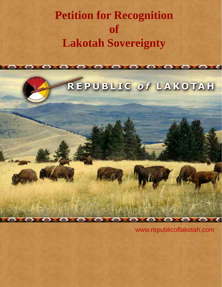# **Petition for Recognition of Lakotah Sovereignty**



www.republicoflakotah.com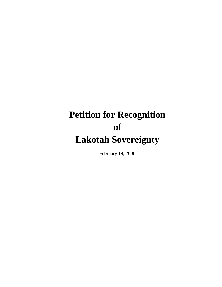# **Petition for Recognition of Lakotah Sovereignty**

February 19, 2008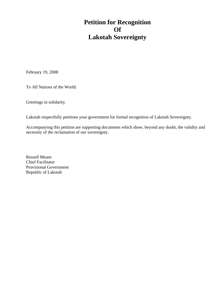## **Petition for Recognition Of Lakotah Sovereignty**

February 19, 2008

To All Nations of the World:

Greetings in solidarity.

Lakotah respectfully petitions your government for formal recognition of Lakotah Sovereignty.

Accompanying this petition are supporting documents which show, beyond any doubt, the validity and necessity of the reclamation of our sovereignty.

Russell Means Chief Facilitator Provisional Government Republic of Lakotah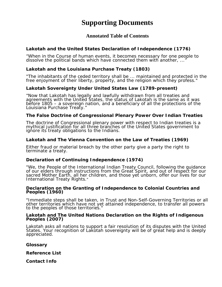## **Supporting Documents**

#### **Annotated Table of Contents**

#### **Lakotah and the United States Declaration of Independence (1776)**

*"When in the Course of human events, it becomes necessary for one people to dissolve the political bands which have connected them with another, ..."*

#### **Lakotah and the Louisiana Purchase Treaty (1803)**

*"The inhabitants of the ceded territory shall be ... maintained and protected in the free enjoyment of their liberty, property, and the religion which they profess."* 

#### **Lakotah Sovereignty Under United States Law (1789-present)**

*"Now that Lakotah has legally and lawfully withdrawn from all treaties and agreements with the United States, the status of Lakotah is the same as it was before 1805 – a sovereign nation, and a beneficiary of all the protections of the Louisiana Purchase Treaty."* 

#### **The False Doctrine of Congressional Plenary Power Over Indian Treaties**

*The doctrine of Congressional plenary power with respect to Indian treaties is a mythical justification for all three branches of the United States government to ignore its treaty obligations to the Indians.* 

#### **Lakotah and The Vienna Convention on the Law of Treaties (1969)**

*Either fraud or material breach by the other party give a party the right to terminate a treaty.* 

#### **Declaration of Continuing Independence (1974)**

"We, the People of the International Indian Treaty Council, following the guidance<br>of our elders through instructions from the Great Spirit, and out of respect for our<br>sacred Mother Earth, all her children, and those yet u

## **Declaration on the Granting of Independence to Colonial Countries and<br>Peoples (1960)**

*"Immediate steps shall be taken, in Trust and Non-Self-Governing Territories or all other territories which have not yet attained independence, to transfer all powers to the peoples of those territories."* 

## **Lakotah and The United Nations Declaration on the Rights of Indigenous Peoples (2007)**

Lakotah asks all nations to support a fair resolution of its disputes with the United<br>States. Your recognition of Lakotah sovereignty will be of great help and is deeply<br>appreciated.

#### **Glossary**

**Reference List** 

**Contact Info**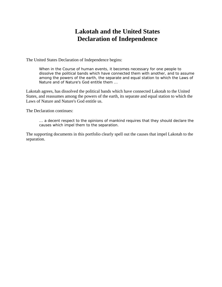## **Lakotah and the United States Declaration of Independence**

The United States Declaration of Independence begins:

When in the Course of human events, it becomes necessary for one people to dissolve the political bands which have connected them with another, and to assume among the powers of the earth, the separate and equal station to which the Laws of Nature and of Nature's God entitle them ...

Lakotah agrees, has dissolved the political bands which have connected Lakotah to the United States, and reassumes among the powers of the earth, its separate and equal station to which the Laws of Nature and Nature's God entitle us.

The Declaration continues:

... a decent respect to the opinions of mankind requires that they should declare the causes which impel them to the separation.

The supporting documents in this portfolio clearly spell out the causes that impel Lakotah to the separation.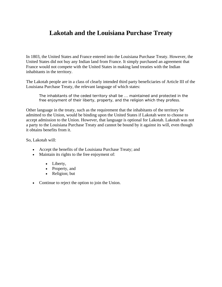### **Lakotah and the Louisiana Purchase Treaty**

In 1803, the United States and France entered into the Louisiana Purchase Treaty. However, the United States did not buy any Indian land from France. It simply purchased an agreement that France would not compete with the United States in making land treaties with the Indian inhabitants in the territory.

The Lakotah people are in a class of clearly intended third party beneficiaries of Article III of the Louisiana Purchase Treaty, the relevant language of which states:

The inhabitants of the ceded territory shall be ... maintained and protected in the free enjoyment of their liberty, property, and the religion which they profess.

Other language in the treaty, such as the requirement that the inhabitants of the territory be admitted to the Union, would be binding upon the United States if Lakotah were to choose to accept admission to the Union. However, that language is optional for Lakotah. Lakotah was not a party to the Louisiana Purchase Treaty and cannot be bound by it against its will, even though it obtains benefits from it.

So, Lakotah will:

- Accept the benefits of the Louisiana Purchase Treaty; and
- Maintain its rights to the free enjoyment of:
	- Liberty,
	- Property, and
	- Religion; but
- Continue to reject the option to join the Union.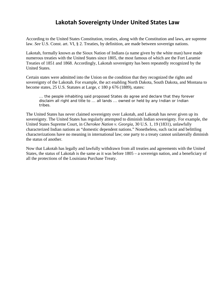### **Lakotah Sovereignty Under United States Law**

According to the United States Constitution, treaties, along with the Constitution and laws, are supreme law. *See* U.S. Const. art. VI, § 2. Treaties, by definition, are made between sovereign nations.

Lakotah, formally known as the Sioux Nation of Indians (a name given by the white man) have made numerous treaties with the United States since 1805, the most famous of which are the Fort Laramie Treaties of 1851 and 1868. Accordingly, Lakotah sovereignty has been repeatedly recognized by the United States.

Certain states were admitted into the Union on the condition that they recognized the rights and sovereignty of the Lakotah. For example, the act enabling North Dakota, South Dakota, and Montana to become states, 25 U.S. Statutes at Large, c 180 p 676 (1889), states:

... the people inhabiting said proposed States do agree and declare that they forever disclaim all right and title to ... all lands ... owned or held by any Indian or Indian tribes.

The United States has never claimed sovereignty over Lakotah, and Lakotah has never given up its sovereignty. The United States has regularly attempted to diminish Indian sovereignty. For example, the United States Supreme Court, in *Cherokee Nation v. Georgia,* 30 U.S. 1, 19 (1831), unlawfully characterized Indian nations as "domestic dependent nations." Nonetheless, such racist and belittling characterizations have no meaning in international law; one party to a treaty cannot unilaterally diminish the status of another.

Now that Lakotah has legally and lawfully withdrawn from all treaties and agreements with the United States, the status of Lakotah is the same as it was before 1805 – a sovereign nation, and a beneficiary of all the protections of the Louisiana Purchase Treaty.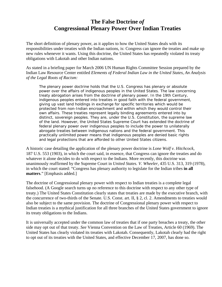### **The False Doctrine** *of*  **Congressional Plenary Power Over Indian Treaties**

The short definition of plenary power, as it applies to how the United States deals with its responsibilities under treaties with the Indian nations, is: Congress can ignore the treaties and make up new rules whenever it wants. Using this doctrine, the United States has repeatedly violated its treaty obligations with Lakotah and other Indian nations.

As stated in a briefing paper for March 2006 UN Human Rights Committee Session prepared by the Indian Law Resource Center entitled *Elements of Federal Indian Law in the United States, An Analysis of the Legal Roots of Racism:*

The plenary power doctrine holds that the U.S. Congress has plenary or absolute power over the affairs of indigenous peoples in the United States. The law concerning treaty abrogation arises from the doctrine of plenary power. In the 19th Century, indigenous peoples entered into treaties in good faith with the federal government, giving up vast land holdings in exchange for specific territories which would be protected from non-Indian encroachment and within which they would control their own affairs. These treaties represent legally binding agreements entered into by distinct, sovereign peoples. They are, under the U.S. Constitution, the supreme law of the land. However, the United States Supreme Court has extended the doctrine of federal plenary power over indigenous peoples to include the power to unilaterally abrogate treaties between indigenous nations and the federal government. This practically unlimited power means that indigenous peoples are denied basic rights and legal protections that are afforded to other United States citizens.

A historic case detailing the application of the plenary power doctrine is *Lone Wolf v. Hitchcock,* 187 U.S. 553 (1903), in which the court said, in essence, that Congress can ignore the treaties and do whatever it alone decides to do with respect to the Indians. More recently, this doctrine was unanimously reaffirmed by the Supreme Court in *United States. V. Wheeler,* 435 U.S. 313, 319 (1978), in which the court stated: "Congress has plenary authority to legislate for the Indian tribes **in all matters**." [Emphasis added.]

The doctrine of Congressional plenary power with respect to Indian treaties is a complete legal falsehood. (A Google search turns up no reference to this doctrine with respect to any other type of treaty.) The United States Constitution clearly states that treaties are made by the executive branch, with the concurrence of two-thirds of the Senate. U.S. Const. art. II, § 2, cl. 2. Amendments to treaties would also be subject to the same provision. The doctrine of Congressional plenary power with respect to Indian treaties is a mythical justification for all three branches of the United States government to ignore its treaty obligations to the Indians.

It is universally accepted under the common law of treaties that if one party breaches a treaty, the other side may opt out of that treaty. *See* Vienna Convention on the Law of Treaties, Article 60 (1969). The United States has clearly violated its treaties with Lakotah. Consequently, Lakotah clearly had the right to opt out of its treaties with the United States, and effective December 17, 2007, has done so.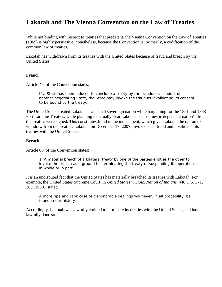## **Lakotah and The Vienna Convention on the Law of Treaties**

While not binding with respect to treaties that predate it, the Vienna Convention on the Law of Treaties (1969) is highly persuasive, nonetheless, because the Convention is, primarily, a codification of the common law of treaties.

Lakotah has withdrawn from its treaties with the United States because of fraud and breach by the United States.

#### **Fraud.**

Article 49, of the Convention states:

If a State has been induced to conclude a treaty by the fraudulent conduct of another negotiating State, the State may invoke the fraud as invalidating its consent to be bound by the treaty.

The United States treated Lakotah as an equal sovereign nation while bargaining for the 1851 and 1868 Fort Laramie Treaties, while planning to actually treat Lakotah as a "domestic dependent nation" after the treaties were signed. This constitutes fraud in the inducement, which gives Lakotah the option to withdraw from the treaties. Lakotah, on December 17, 2007, invoked such fraud and invalidated its treaties with the United States.

#### **Breach.**

Article 60, of the Convention states:

1. A material breach of a bilateral treaty by one of the parties entitles the other to invoke the breach as a ground for terminating the treaty or suspending its operation in whole or in part.

It is an undisputed fact that the United States has materially breached its treaties with Lakotah. For example, the United States Supreme Court, in *United States v. Sioux Nation of Indians,* 448 U.S. 371, 388 (1980), stated:

A more ripe and rank case of dishonorable dealings will never, in all probability, be found in our history.

Accordingly, Lakotah was lawfully entitled to terminate its treaties with the United States, and has lawfully done so.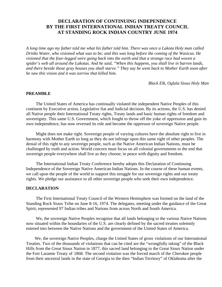#### **DECLARATION OF CONTINUING INDEPENDENCE BY THE FIRST INTERNATIONAL INDIAN TREATY COUNCIL AT STANDING ROCK INDIAN COUNTRY JUNE 1974**

*A long time ago my father told me what his father told him. There was once a Lakota Holy man called Drinks Water, who visioned what was to be; and this was long before the coming of the Wasicus. He visioned that the four-legged were going back into the earth and that a strange race had woven a spider's web all around the Lakotas. And he said, "When this happens, you shall live in barren lands, and there beside those gray houses you shall starve." They say he went back to Mother Earth soon after he saw this vision and it was sorrow that killed him.* 

*Black Elk, Oglala Sioux Holy Man* 

#### **PREAMBLE**

 The United States of America has continually violated the independent Native Peoples of this continent by Executive action, Legislative fiat and Judicial decision. By its actions, the U.S. has denied all Native people their International Treaty rights, Treaty lands and basic human rights of freedom and sovereignty. This same U.S. Government, which fought to throw off the yoke of oppression and gain its own independence, has now reversed its role and become the oppressor of sovereign Native people.

 Might does not make right. Sovereign people of varying cultures have the absolute right to live in harmony with Mother Earth so long as they do not infringe upon this same right of other peoples. The denial of this right to any sovereign people, such as the Native American Indian Nations, must be challenged by truth and action. World concern must focus on all colonial governments to the end that sovereign people everywhere shall live as they choose; in peace with dignity and freedom.

 The International Indian Treaty Conference hereby adopts this Declaration of Continuing Independence of the Sovereign Native American Indian Nations. In the course of these human events, we call upon the people of the world to support this struggle for our sovereign rights and our treaty rights. We pledge our assistance to all other sovereign people who seek their own independence.

#### **DECLARATION**

 The First International Treaty Council of the Western Hemisphere was formed on the land of the Standing Rock Sioux Tribe on June 8-16, 1974. The delegates, meeting under the guidance of the Great Spirit, represented 97 Indian tribes and Nations from across North and South America.

 We, the sovereign Native Peoples recognize that all lands belonging to the various Native Nations now situated within the boundaries of the U.S. are clearly defined by the sacred treaties solemnly entered into between the Native Nations and the government of the United States of America.

 We, the sovereign Native Peoples, charge the United States of gross violations of our International Treaties. Two of the thousands of violations that can be cited are the "wrongfully taking" of the Black Hills from the Great Sioux Nation in 1877, this sacred land belonging to the Great Sioux Nation under the Fort Laramie Treaty of 1868. The second violation was the forced march of the Cherokee people from their ancestral lands in the state of Georgia to the then "Indian Territory" of Oklahoma after the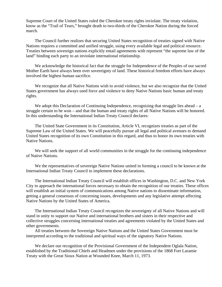Supreme Court of the United States ruled the Cherokee treaty rights inviolate. The treaty violation, know as the "Trail of Tears," brought death to two-thirds of the Cherokee Nation during the forced march.

 The Council further realizes that securing United States recognition of treaties signed with Native Nations requires a committed and unified struggle, using every available legal and political resource. Treaties between sovereign nations explicitly entail agreements with represent "the supreme law of the land" binding each party to an inviolate international relationship.

 We acknowledge the historical fact that the struggle for Independence of the Peoples of our sacred Mother Earth have always been over sovereignty of land. These historical freedom efforts have always involved the highest human sacrifice.

 We recognize that all Native Nations wish to avoid violence, but we also recognize that the United States government has always used force and violence to deny Native Nations basic human and treaty rights.

We adopt this Declaration of Continuing Independence, recognizing that struggle lies ahead – a struggle certain to be won – and that the human and treaty rights of all Native Nations will be honored. In this understanding the International Indian Treaty Council declares:

 The United State Government in its Constitution, Article VI, recognizes treaties as part of the Supreme Law of the United States. We will peacefully pursue all legal and political avenues to demand United States recognition of its own Constitution in this regard, and thus to honor its own treaties with Native Nations.

We will seek the support of all world communities in the struggle for the continuing independence of Native Nations.

 We the representatives of sovereign Native Nations united in forming a council to be known at the International Indian Treaty Council to implement these declarations.

 The International Indian Treaty Council will establish offices in Washington, D.C. and New York City to approach the international forces necessary to obtain the recognition of our treaties. These offices will establish an initial system of communications among Native nations to disseminate information, getting a general consensus of concerning issues, developments and any legislative attempt affecting Native Nations by the United States of America.

 The International Indian Treaty Council recognizes the sovereignty of all Native Nations and will stand in unity to support our Native and international brothers and sisters in their respective and collective struggles concerning international treaties and agreements violated by the United States and other governments.

 All treaties between the Sovereign Native Nations and the United States Government must be interpreted according to the traditional and spiritual ways of the signatory Native Nations.

 We declare our recognition of the Provisional Government of the Independent Oglala Nation, established by the Traditional Chiefs and Headmen under the provisions of the 1868 Fort Laramie Treaty with the Great Sioux Nation at Wounded Knee, March 11, 1973.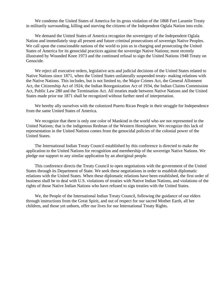We condemn the United States of America for its gross violation of the 1868 Fort Laramie Treaty in militarily surrounding, killing and starving the citizens of the Independent Oglala Nation into exile.

 We demand the United States of America recognize the sovereignty of the Independent Oglala Nation and immediately stop all present and future criminal prosecutions of sovereign Native Peoples. We call upon the conscionable nations of the world to join us in charging and prosecuting the United States of America for its genocidal practices against the sovereign Native Nations; most recently illustrated by Wounded Knee 1973 and the continued refusal to sign the United Nations 1948 Treaty on Genocide.

 We reject all executive orders, legislative acts and judicial decisions of the United States related to Native Nations since 1871, when the United States unilaterally suspended treaty- making relations with the Native Nations. This includes, but is not limited to, the Major Crimes Act, the General Allotment Act, the Citizenship Act of 1924, the Indian Reorganization Act of 1934, the Indian Claims Commission Act, Public Law 280 and the Termination Act. All treaties made between Native Nations and the United States made prior toe 1871 shall be recognized without further need of interpretation.

 We hereby ally ourselves with the colonized Puerto Rican People in their struggle for Independence from the same United States of America.

We recognize that there is only one color of Mankind in the world who are not represented in the United Nations; that is the indigenous Redman of the Western Hemisphere. We recognize this lack of representation in the United Nations comes from the genocidal policies of the colonial power of the United States.

 The International Indian Treaty Council established by this conference is directed to make the application to the United Nations for recognition and membership of the sovereign Native Nations. We pledge our support to any similar application by an aboriginal people.

 This conference directs the Treaty Council to open negotiations with the government of the United States through its Department of State. We seek these negotiations in order to establish diplomatic relations with the United States. When these diplomatic relations have been established, the first order of business shall be to deal with U.S. violations of treaties with Native Indian Nations, and violations of the rights of those Native Indian Nations who have refused to sign treaties with the United States.

 We, the People of the International Indian Treaty Council, following the guidance of our elders through instructions from the Great Spirit, and out of respect for our sacred Mother Earth, all her children, and those yet unborn, offer our lives for our International Treaty Rights.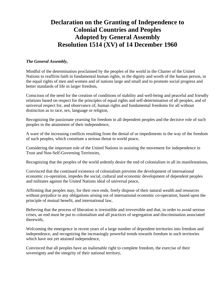## **Declaration on the Granting of Independence to Colonial Countries and Peoples Adopted by General Assembly Resolution 1514 (XV) of 14 December 1960**

#### *The General Assembly,*

Mindful of the determination proclaimed by the peoples of the world in the Charter of the United Nations to reaffirm faith in fundamental human rights, in the dignity and worth of the human person, in the equal rights of men and women and of nations large and small and to promote social progress and better standards of life in larger freedom,

Conscious of the need for the creation of conditions of stability and well-being and peaceful and friendly relations based on respect for the principles of equal rights and self-determination of all peoples, and of universal respect for, and observance of, human rights and fundamental freedoms for all without distinction as to race, sex, language or religion,

Recognizing the passionate yearning for freedom in all dependent peoples and the decisive role of such peoples in the attainment of their independence,

A ware of the increasing conflicts resulting from the denial of or impediments in the way of the freedom of such peoples, which constitute a serious threat to world peace,

Considering the important role of the United Nations in assisting the movement for independence in Trust and Non-Self-Governing Territories,

Recognizing that the peoples of the world ardently desire the end of colonialism in all its manifestations,

Convinced that the continued existence of colonialism prevents the development of international economic co-operation, impedes the social, cultural and economic development of dependent peoples and militates against the United Nations ideal of universal peace,

Affirming that peoples may, for their own ends, freely dispose of their natural wealth and resources without prejudice to any obligations arising out of international economic co-operation, based upon the principle of mutual benefit, and international law,

Believing that the process of liberation is irresistible and irreversible and that, in order to avoid serious crises, an end must be put to colonialism and all practices of segregation and discrimination associated therewith,

Welcoming the emergence in recent years of a large number of dependent territories into freedom and independence, and recognizing the increasingly powerful trends towards freedom in such territories which have not yet attained independence,

Convinced that all peoples have an inalienable right to complete freedom, the exercise of their sovereignty and the integrity of their national territory,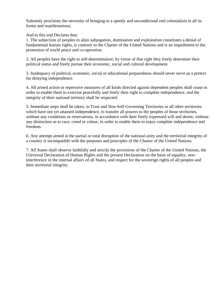Solemnly proclaims the necessity of bringing to a speedy and unconditional end colonialism in all its forms and manifestations;

And to this end Declares that:

1. The subjection of peoples to alien subjugation, domination and exploitation constitutes a denial of fundamental human rights, is contrary to the Charter of the United Nations and is an impediment to the promotion of world peace and co-operation.

2. All peoples have the right to self-determination; by virtue of that right they freely determine their political status and freely pursue their economic, social and cultural development.

3. Inadequacy of political, economic, social or educational preparedness should never serve as a pretext for delaying independence.

4. All armed action or repressive measures of all kinds directed against dependent peoples shall cease in order to enable them to exercise peacefully and freely their right to complete independence, and the integrity of their national territory shall be respected.

5. Immediate steps shall be taken, in Trust and Non-Self-Governing Territories or all other territories which have not yet attained independence, to transfer all powers to the peoples of those territories, without any conditions or reservations, in accordance with their freely expressed will and desire, without any distinction as to race, creed or colour, in order to enable them to enjoy complete independence and freedom.

6. Any attempt aimed at the partial or total disruption of the national unity and the territorial integrity of a country is incompatible with the purposes and principles of the Charter of the United Nations.

7. All States shall observe faithfully and strictly the provisions of the Charter of the United Nations, the Universal Declaration of Human Rights and the present Declaration on the basis of equality, noninterference in the internal affairs of all States, and respect for the sovereign rights of all peoples and their territorial integrity.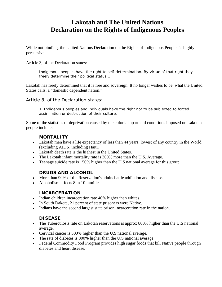## **Lakotah and The United Nations Declaration on the Rights of Indigenous Peoples**

While not binding, the United Nations Declaration on the Rights of Indigenous Peoples is highly persuasive.

Article 3, of the Declaration states:

Indigenous peoples have the right to self-determination. By virtue of that right they freely determine their political status ...

Lakotah has freely determined that it is free and sovereign. It no longer wishes to be, what the United States calls, a "domestic dependent nation."

Article 8, of the Declaration states:

1. Indigenous peoples and individuals have the right not to be subjected to forced assimilation or destruction of their culture.

Some of the statistics of deprivation caused by the colonial apartheid conditions imposed on Lakotah people include:

#### **MORTALITY**

- Lakotah men have a life expectancy of less than 44 years, lowest of any country in the World (excluding AIDS) including Haiti.
- Lakotah death rate is the highest in the United States.
- The Lakotah infant mortality rate is 300% more than the U.S. Average.
- Teenage suicide rate is 150% higher than the U.S national average for this group.

#### **DRUGS AND ALCOHOL**

- More than 90% of the Reservation's adults battle addiction and disease.
- Alcoholism affects 8 in 10 families.

#### **INCARCERATION**

- Indian children incarceration rate 40% higher than whites.
- In South Dakota, 21 percent of state prisoners were Native.
- Indians have the second largest state prison incarceration rate in the nation.

#### **DISEASE**

- The Tuberculosis rate on Lakotah reservations is approx 800% higher than the U.S national average.
- Cervical cancer is 500% higher than the U.S national average.
- The rate of diabetes is 800% higher than the U.S national average.
- Federal Commodity Food Program provides high sugar foods that kill Native people through diabetes and heart disease.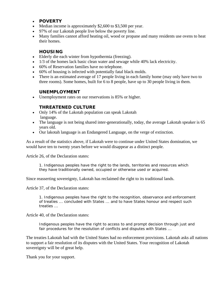#### • **POVERTY**

- Median income is approximately \$2,600 to \$3,500 per year.
- 97% of our Lakotah people live below the poverty line.
- Many families cannot afford heating oil, wood or propane and many residents use ovens to heat their homes.

#### **HOUSING**

- Elderly die each winter from hypothermia (freezing).
- 1/3 of the homes lack basic clean water and sewage while 40% lack electricity.
- 60% of Reservation families have no telephone.
- 60% of housing is infected with potentially fatal black molds.
- There is an estimated average of 17 people living in each family home (may only have two to three rooms). Some homes, built for 6 to 8 people, have up to 30 people living in them.

#### **UNEMPLOYMENT**

• Unemployment rates on our reservations is 85% or higher.

#### **THREATENED CULTURE**

- Only 14% of the Lakotah population can speak Lakotah language.
- The language is not being shared inter-generationally, today, the average Lakotah speaker is 65 years old.
- Our lakotah language is an Endangered Language, on the verge of extinction.

As a result of the statistics above, if Lakotah were to continue under United States domination, we would have ten to twenty years before we would disappear as a distinct people.

Article 26, of the Declaration states:

1. Indigenous peoples have the right to the lands, territories and resources which they have traditionally owned, occupied or otherwise used or acquired.

Since reasserting sovereignty, Lakotah has reclaimed the right to its traditional lands.

Article 37, of the Declaration states:

1. Indigenous peoples have the right to the recognition, observance and enforcement of treaties ... concluded with States ... and to have States honour and respect such treaties ...

Article 40, of the Declaration states:

Indigenous peoples have the right to access to and prompt decision through just and fair procedures for the resolution of conflicts and disputes with States ...

The treaties Lakotah had with the United States had no enforcement provisions. Lakotah asks all nations to support a fair resolution of its disputes with the United States. Your recognition of Lakotah sovereignty will be of great help.

Thank you for your support.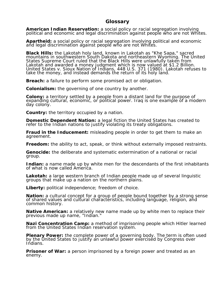#### **Glossary**

**American Indian Reservation:** a social policy or racial segregation involving political and economic and legal discrimination against people who are not Whites.

**Apartheid:** a social policy or racial segregation involving political and economic and legal discrimination against people who are not Whites.

Black Hills: the Lakotah holy land, known in Lakotah as "Khe Sapa," sacred<br>mountains in southwestern South Dakota and northeastern Wyoming. The United<br>States Supreme Court ruled that the Black Hills were unlawfully taken f *United States v. Sioux Nation of Indians,* 448 U.S. 371 (1980). Lakotah refuses to take the money, and instead demands the return of its holy land.

**Breach:** a failure to perform some promised act or obligation.

**Colonialism:** the governing of one country by another.

**Colony:** a territory settled by a people from a distant land for the purpose of<br>expanding cultural, economic, or political power. Iraq is one example of a modern<br>day colony.

**Country:** the territory occupied by a nation.

**Domestic Dependent Nation:** a legal fiction the United States has created to refer to the Indian nations to justify violating its treaty obligations.

**Fraud in the Inducement:** misleading people in order to get them to make an agreement.

**Freedom:** the ability to act, speak, or think without externally imposed restraints.

**Genocide:** the deliberate and systematic extermination of a national or racial group.

**Indian:** a name made up by white men for the descendants of the first inhabitants of what is now called America.

Lakotah: a large western branch of Indian people made up of several linguistic groups that make up a nation on the northern plains.

**Liberty:** political independence; freedom of choice.

**Nation:** a cultural concept for a group of people bound together by a strong sense of shared values and cultural characteristics, including language, religion, and common history.

**Native American:** a relatively new name made up by white men to replace their previous made up name, "Indian."

**Nazi Concentration Camp:** a method of imprisoning people which Hitler learned from the United States Indian reservation system.

**Plenary Power:** the complete power of a governing body. The term is often used<br>by the United States to justify an unlawful power exercised by Congress over<br>Indians.

**Prisoner of War:** a person imprisoned by a foreign power and treated as an enemy.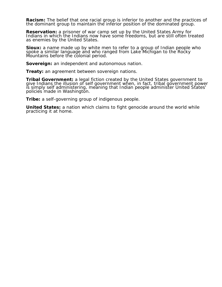**Racism:** The belief that one racial group is inferior to another and the practices of the dominant group to maintain the inferior position of the dominated group.

**Reservation:** a prisoner of war camp set up by the United States Army for Indians in which the Indians now have some freedoms, but are still often treated as enemies by the United States.

**Sioux:** a name made up by white men to refer to a group of Indian people who spoke a similar language and who ranged from Lake Michigan to the Rocky Mountains before the colonial period.

**Sovereign:** an independent and autonomous nation.

**Treaty:** an agreement between sovereign nations.

Tribal Government: a legal fiction created by the United States government to give Indians the illusion of self government when, in fact, tribal government power is simply self administering, meaning that Indian people adm

**Tribe:** a self-governing group of indigenous people.

**United States:** a nation which claims to fight genocide around the world while practicing it at home.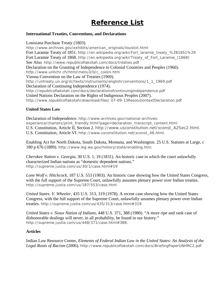## **Reference List**

#### **International Treaties, Conventions, and Declarations**

Louisiana Purchase Treaty (1803). http://www.archives.gov/exhibits/american\_originals/louistxt.html Fort Laramie Treaty of 1851. http://en.wikipedia.org/wiki/Fort\_laramie\_treaty\_%281851%29 Fort Laramie Treaty of 1868. http://en.wikipedia.org/wiki/Treaty\_of\_Fort\_Laramie\_(1868) See Also http://www.republicoflakotah.com/docs/treaties.pdf Declaration on the Granting of Independence to Colonial Countries and Peoples (1960). http://www.unhchr.ch/html/menu3/b/c\_coloni.htm Vienna Convention on the Law of Treaties (1969). http://untreaty.un.org/ilc/texts/instruments/english/conventions/1\_1\_1969.pdf Declaration of Continuing Independence (1974). http://republicoflakotah.com/docs/declarationofcontinuingindependence.pdf United Nations Declaration on the Rights of Indigenous Peoples (2007). http://www.republicoflakotah/download/files/ 07-09-13ResolutiontextDeclaration.pdf

#### **United States Law**

Declaration of Independence. http://www.archives.gov/national-archivesexperience/charters/print\_friendly.html?page=declaration\_transcript\_content.html U.S. Constitution, Article II, Section 2. http://www.usconstitution.net/xconst\_A2Sec2.html. U.S. Constitution, Article VI. http://www.usconstitution.net/xconst\_A6.html.

Enabling Act for North Dakota, South Dakota, Montana, and Washington. 25 U.S. Statutes at Large, c 180 p 676 (1889). http://www.leg.wa.gov/history/state/enabling.htm.

*Cherokee Nation v. Georgia,* 30 U.S. 1, 19 (1831). An historic case in which the court unlawfully characterized Indian nations as "domestic dependent nations." http://supreme.justia.com/us/30/1/case.html#19

*Lone Wolf v. Hitchcock,* 187 U.S. 553 (1903). An historic case showing how the United States Congress, with the full support of the Supreme Court, unlawfully assumes plenary power over Indian treaties. http://supreme.justia.com/us/187/553/case.html

*United States. V. Wheeler,* 435 U.S. 313, 319 (1978). A recent case showing how the United States Congress, with the full support of the Supreme Court, unlawfully assumes plenary power over Indian treaties. http://supreme.justia.com/us/435/313/case.html#319.

*United States v. Sioux Nation of Indians,* 448 U.S. 371, 388 (1980). "A more ripe and rank case of dishonorable dealings will never, in all probability, be found in our history." http://supreme.justia.com/us/448/371/case.html#388.

#### **Articles**

Indian Law Resource Center, *Elements of Federal Indian Law in the United States: An Analysis of the Legal Roots of Racism* (2006). http://www.republicoflakotah.com/docs/BriefingPaperUNHRC2.pdf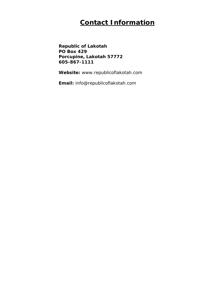## **Contact Information**

**Republic of Lakotah PO Box 429 Porcupine, Lakotah 57772 605-867-1111** 

**Website:** www.republicoflakotah.com

**Email:** info@republicoflakotah.com